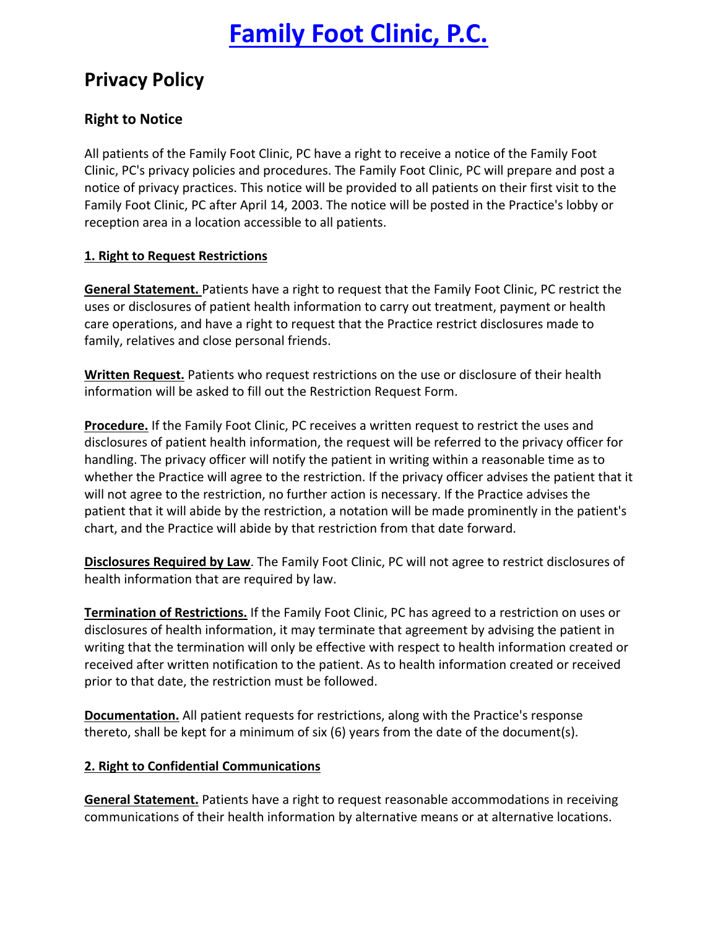# **[Family Foot Clinic, P.C.](http://www.pheetnewz.com/index.shtml)**

# **Privacy Policy**

## **Right to Notice**

All patients of the Family Foot Clinic, PC have a right to receive a notice of the Family Foot Clinic, PC's privacy policies and procedures. The Family Foot Clinic, PC will prepare and post a notice of privacy practices. This notice will be provided to all patients on their first visit to the Family Foot Clinic, PC after April 14, 2003. The notice will be posted in the Practice's lobby or reception area in a location accessible to all patients.

#### **1. Right to Request Restrictions**

**General Statement.** Patients have a right to request that the Family Foot Clinic, PC restrict the uses or disclosures of patient health information to carry out treatment, payment or health care operations, and have a right to request that the Practice restrict disclosures made to family, relatives and close personal friends.

**Written Request.** Patients who request restrictions on the use or disclosure of their health information will be asked to fill out the Restriction Request Form.

**Procedure.** If the Family Foot Clinic, PC receives a written request to restrict the uses and disclosures of patient health information, the request will be referred to the privacy officer for handling. The privacy officer will notify the patient in writing within a reasonable time as to whether the Practice will agree to the restriction. If the privacy officer advises the patient that it will not agree to the restriction, no further action is necessary. If the Practice advises the patient that it will abide by the restriction, a notation will be made prominently in the patient's chart, and the Practice will abide by that restriction from that date forward.

**Disclosures Required by Law**. The Family Foot Clinic, PC will not agree to restrict disclosures of health information that are required by law.

**Termination of Restrictions.** If the Family Foot Clinic, PC has agreed to a restriction on uses or disclosures of health information, it may terminate that agreement by advising the patient in writing that the termination will only be effective with respect to health information created or received after written notification to the patient. As to health information created or received prior to that date, the restriction must be followed.

**Documentation.** All patient requests for restrictions, along with the Practice's response thereto, shall be kept for a minimum of six (6) years from the date of the document(s).

#### **2. Right to Confidential Communications**

**General Statement.** Patients have a right to request reasonable accommodations in receiving communications of their health information by alternative means or at alternative locations.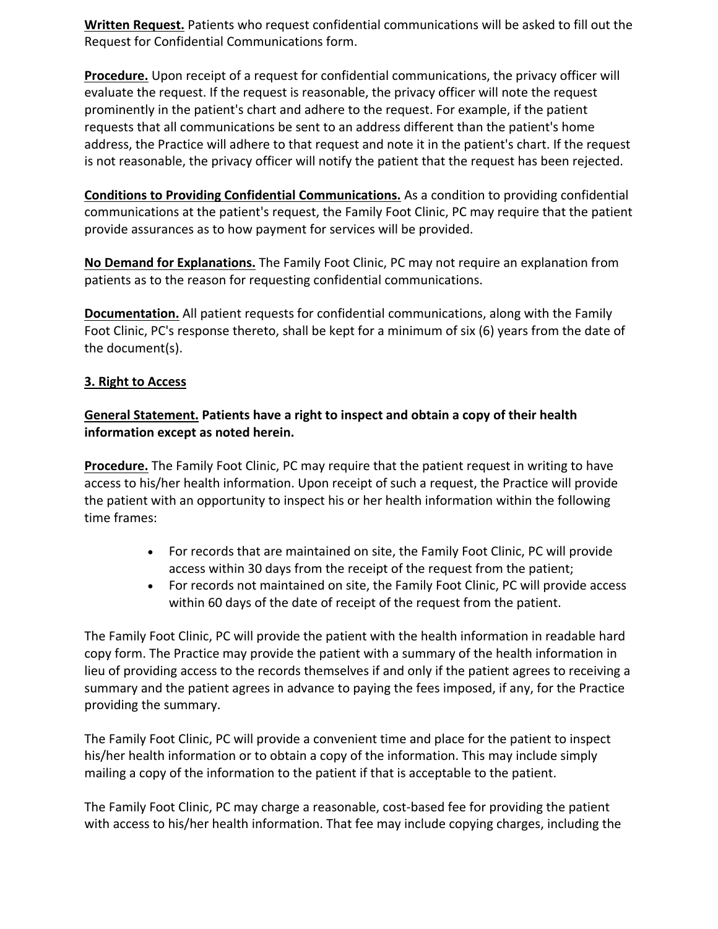**Written Request.** Patients who request confidential communications will be asked to fill out the Request for Confidential Communications form.

**Procedure.** Upon receipt of a request for confidential communications, the privacy officer will evaluate the request. If the request is reasonable, the privacy officer will note the request prominently in the patient's chart and adhere to the request. For example, if the patient requests that all communications be sent to an address different than the patient's home address, the Practice will adhere to that request and note it in the patient's chart. If the request is not reasonable, the privacy officer will notify the patient that the request has been rejected.

**Conditions to Providing Confidential Communications.** As a condition to providing confidential communications at the patient's request, the Family Foot Clinic, PC may require that the patient provide assurances as to how payment for services will be provided.

**No Demand for Explanations.** The Family Foot Clinic, PC may not require an explanation from patients as to the reason for requesting confidential communications.

**Documentation.** All patient requests for confidential communications, along with the Family Foot Clinic, PC's response thereto, shall be kept for a minimum of six (6) years from the date of the document(s).

#### **3. Right to Access**

#### **General Statement. Patients have a right to inspect and obtain a copy of their health information except as noted herein.**

**Procedure.** The Family Foot Clinic, PC may require that the patient request in writing to have access to his/her health information. Upon receipt of such a request, the Practice will provide the patient with an opportunity to inspect his or her health information within the following time frames:

- For records that are maintained on site, the Family Foot Clinic, PC will provide access within 30 days from the receipt of the request from the patient;
- For records not maintained on site, the Family Foot Clinic, PC will provide access within 60 days of the date of receipt of the request from the patient.

The Family Foot Clinic, PC will provide the patient with the health information in readable hard copy form. The Practice may provide the patient with a summary of the health information in lieu of providing access to the records themselves if and only if the patient agrees to receiving a summary and the patient agrees in advance to paying the fees imposed, if any, for the Practice providing the summary.

The Family Foot Clinic, PC will provide a convenient time and place for the patient to inspect his/her health information or to obtain a copy of the information. This may include simply mailing a copy of the information to the patient if that is acceptable to the patient.

The Family Foot Clinic, PC may charge a reasonable, cost-based fee for providing the patient with access to his/her health information. That fee may include copying charges, including the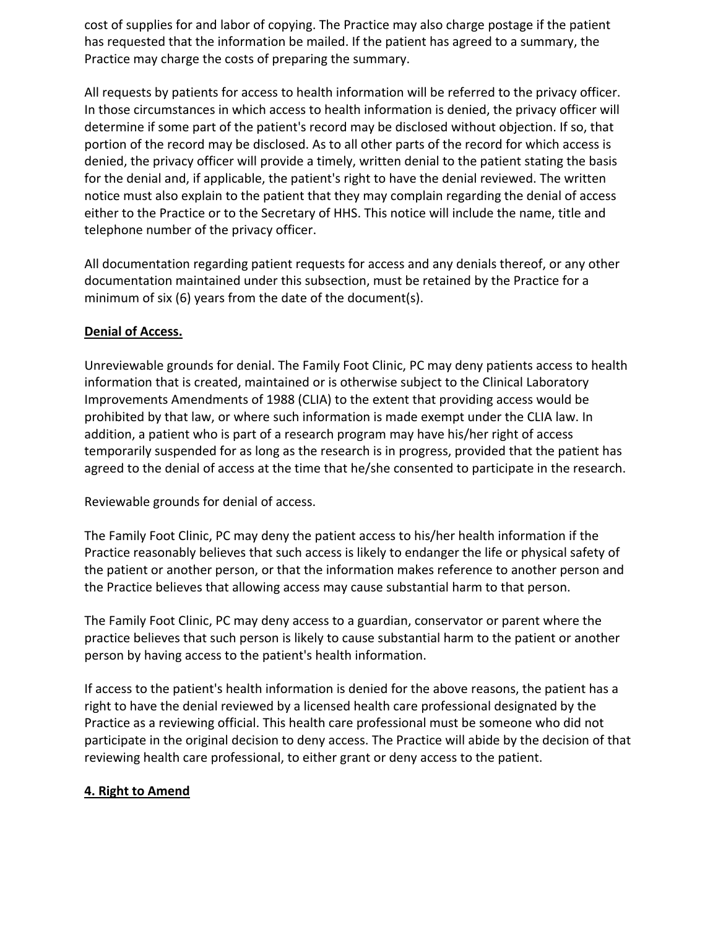cost of supplies for and labor of copying. The Practice may also charge postage if the patient has requested that the information be mailed. If the patient has agreed to a summary, the Practice may charge the costs of preparing the summary.

All requests by patients for access to health information will be referred to the privacy officer. In those circumstances in which access to health information is denied, the privacy officer will determine if some part of the patient's record may be disclosed without objection. If so, that portion of the record may be disclosed. As to all other parts of the record for which access is denied, the privacy officer will provide a timely, written denial to the patient stating the basis for the denial and, if applicable, the patient's right to have the denial reviewed. The written notice must also explain to the patient that they may complain regarding the denial of access either to the Practice or to the Secretary of HHS. This notice will include the name, title and telephone number of the privacy officer.

All documentation regarding patient requests for access and any denials thereof, or any other documentation maintained under this subsection, must be retained by the Practice for a minimum of six (6) years from the date of the document(s).

#### **Denial of Access.**

Unreviewable grounds for denial. The Family Foot Clinic, PC may deny patients access to health information that is created, maintained or is otherwise subject to the Clinical Laboratory Improvements Amendments of 1988 (CLIA) to the extent that providing access would be prohibited by that law, or where such information is made exempt under the CLIA law. In addition, a patient who is part of a research program may have his/her right of access temporarily suspended for as long as the research is in progress, provided that the patient has agreed to the denial of access at the time that he/she consented to participate in the research.

Reviewable grounds for denial of access.

The Family Foot Clinic, PC may deny the patient access to his/her health information if the Practice reasonably believes that such access is likely to endanger the life or physical safety of the patient or another person, or that the information makes reference to another person and the Practice believes that allowing access may cause substantial harm to that person.

The Family Foot Clinic, PC may deny access to a guardian, conservator or parent where the practice believes that such person is likely to cause substantial harm to the patient or another person by having access to the patient's health information.

If access to the patient's health information is denied for the above reasons, the patient has a right to have the denial reviewed by a licensed health care professional designated by the Practice as a reviewing official. This health care professional must be someone who did not participate in the original decision to deny access. The Practice will abide by the decision of that reviewing health care professional, to either grant or deny access to the patient.

### **4. Right to Amend**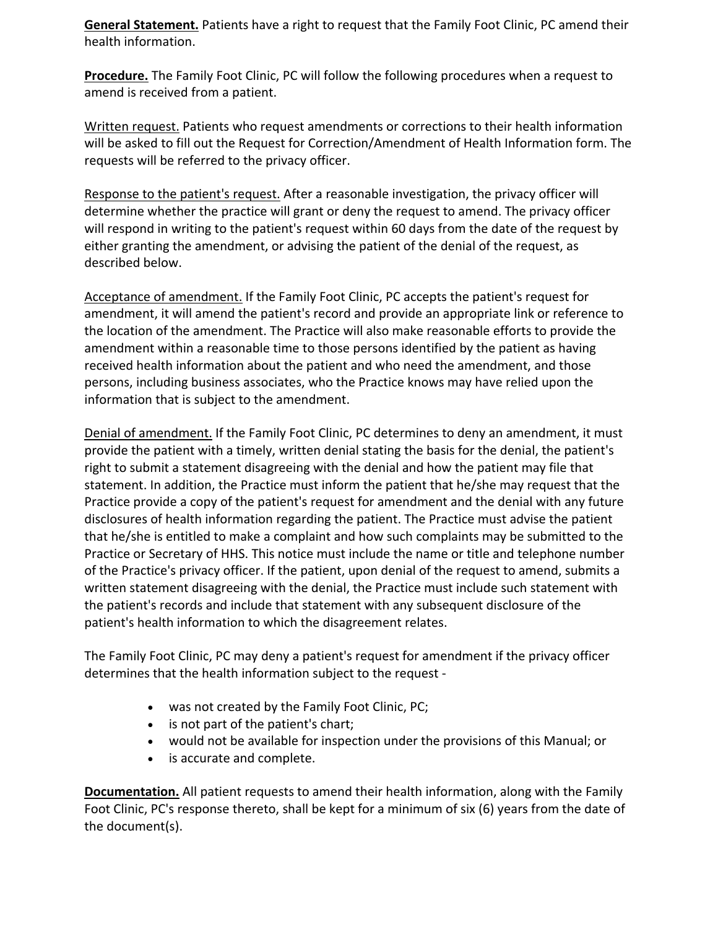**General Statement.** Patients have a right to request that the Family Foot Clinic, PC amend their health information.

**Procedure.** The Family Foot Clinic, PC will follow the following procedures when a request to amend is received from a patient.

Written request. Patients who request amendments or corrections to their health information will be asked to fill out the Request for Correction/Amendment of Health Information form. The requests will be referred to the privacy officer.

Response to the patient's request. After a reasonable investigation, the privacy officer will determine whether the practice will grant or deny the request to amend. The privacy officer will respond in writing to the patient's request within 60 days from the date of the request by either granting the amendment, or advising the patient of the denial of the request, as described below.

Acceptance of amendment. If the Family Foot Clinic, PC accepts the patient's request for amendment, it will amend the patient's record and provide an appropriate link or reference to the location of the amendment. The Practice will also make reasonable efforts to provide the amendment within a reasonable time to those persons identified by the patient as having received health information about the patient and who need the amendment, and those persons, including business associates, who the Practice knows may have relied upon the information that is subject to the amendment.

Denial of amendment. If the Family Foot Clinic, PC determines to deny an amendment, it must provide the patient with a timely, written denial stating the basis for the denial, the patient's right to submit a statement disagreeing with the denial and how the patient may file that statement. In addition, the Practice must inform the patient that he/she may request that the Practice provide a copy of the patient's request for amendment and the denial with any future disclosures of health information regarding the patient. The Practice must advise the patient that he/she is entitled to make a complaint and how such complaints may be submitted to the Practice or Secretary of HHS. This notice must include the name or title and telephone number of the Practice's privacy officer. If the patient, upon denial of the request to amend, submits a written statement disagreeing with the denial, the Practice must include such statement with the patient's records and include that statement with any subsequent disclosure of the patient's health information to which the disagreement relates.

The Family Foot Clinic, PC may deny a patient's request for amendment if the privacy officer determines that the health information subject to the request -

- was not created by the Family Foot Clinic, PC;
- is not part of the patient's chart;
- would not be available for inspection under the provisions of this Manual; or
- is accurate and complete.

**Documentation.** All patient requests to amend their health information, along with the Family Foot Clinic, PC's response thereto, shall be kept for a minimum of six (6) years from the date of the document(s).